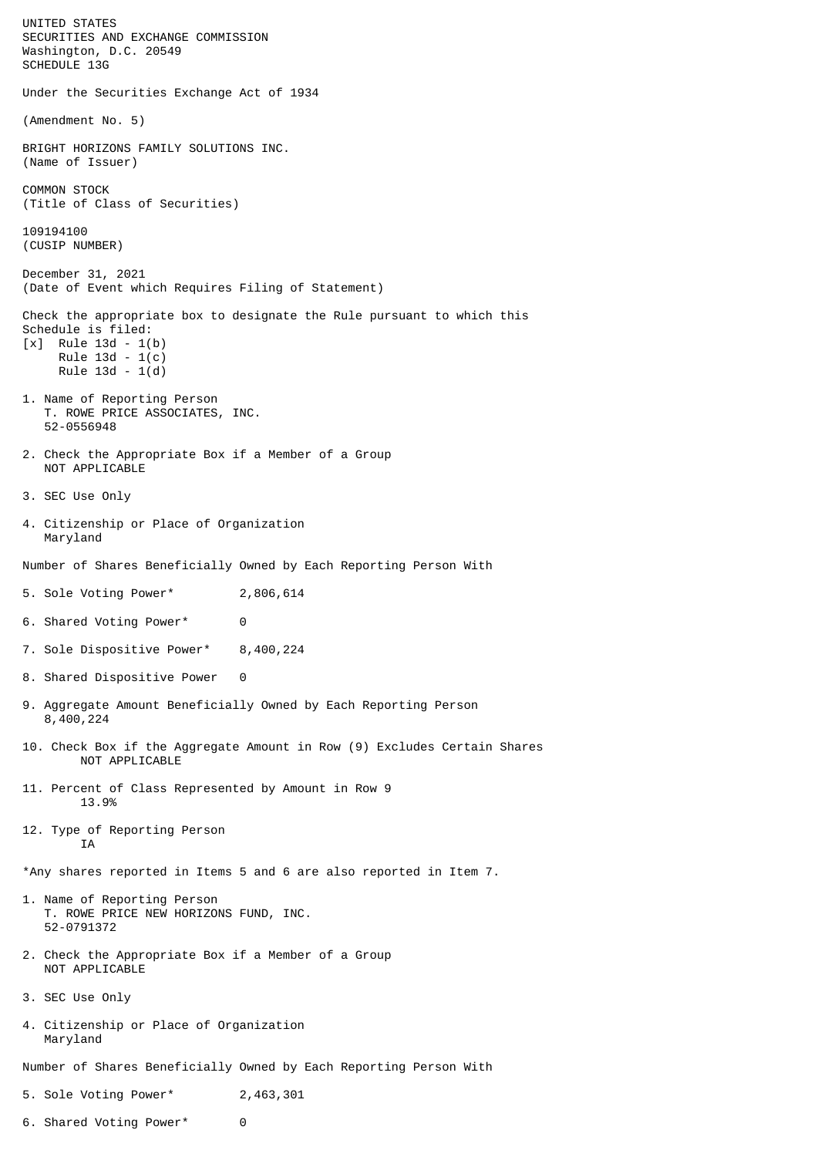UNITED STATES SECURITIES AND EXCHANGE COMMISSION Washington, D.C. 20549 SCHEDULE 13G Under the Securities Exchange Act of 1934 (Amendment No. 5) BRIGHT HORIZONS FAMILY SOLUTIONS INC. (Name of Issuer) COMMON STOCK (Title of Class of Securities) 109194100 (CUSIP NUMBER) December 31, 2021 (Date of Event which Requires Filing of Statement) Check the appropriate box to designate the Rule pursuant to which this Schedule is filed: [x] Rule 13d - 1(b) Rule 13d - 1(c) Rule 13d - 1(d) 1. Name of Reporting Person T. ROWE PRICE ASSOCIATES, INC. 52-0556948 2. Check the Appropriate Box if a Member of a Group NOT APPLICABLE 3. SEC Use Only 4. Citizenship or Place of Organization Maryland Number of Shares Beneficially Owned by Each Reporting Person With 5. Sole Voting Power\* 2,806,614 6. Shared Voting Power\* 0 7. Sole Dispositive Power\* 8,400,224 8. Shared Dispositive Power 0 9. Aggregate Amount Beneficially Owned by Each Reporting Person 8,400,224 10. Check Box if the Aggregate Amount in Row (9) Excludes Certain Shares NOT APPLICABLE 11. Percent of Class Represented by Amount in Row 9 13.9% 12. Type of Reporting Person **TA** \*Any shares reported in Items 5 and 6 are also reported in Item 7. 1. Name of Reporting Person T. ROWE PRICE NEW HORIZONS FUND, INC. 52-0791372 2. Check the Appropriate Box if a Member of a Group NOT APPLICABLE 3. SEC Use Only 4. Citizenship or Place of Organization Maryland Number of Shares Beneficially Owned by Each Reporting Person With 5. Sole Voting Power\* 2,463,301

6. Shared Voting Power\* 0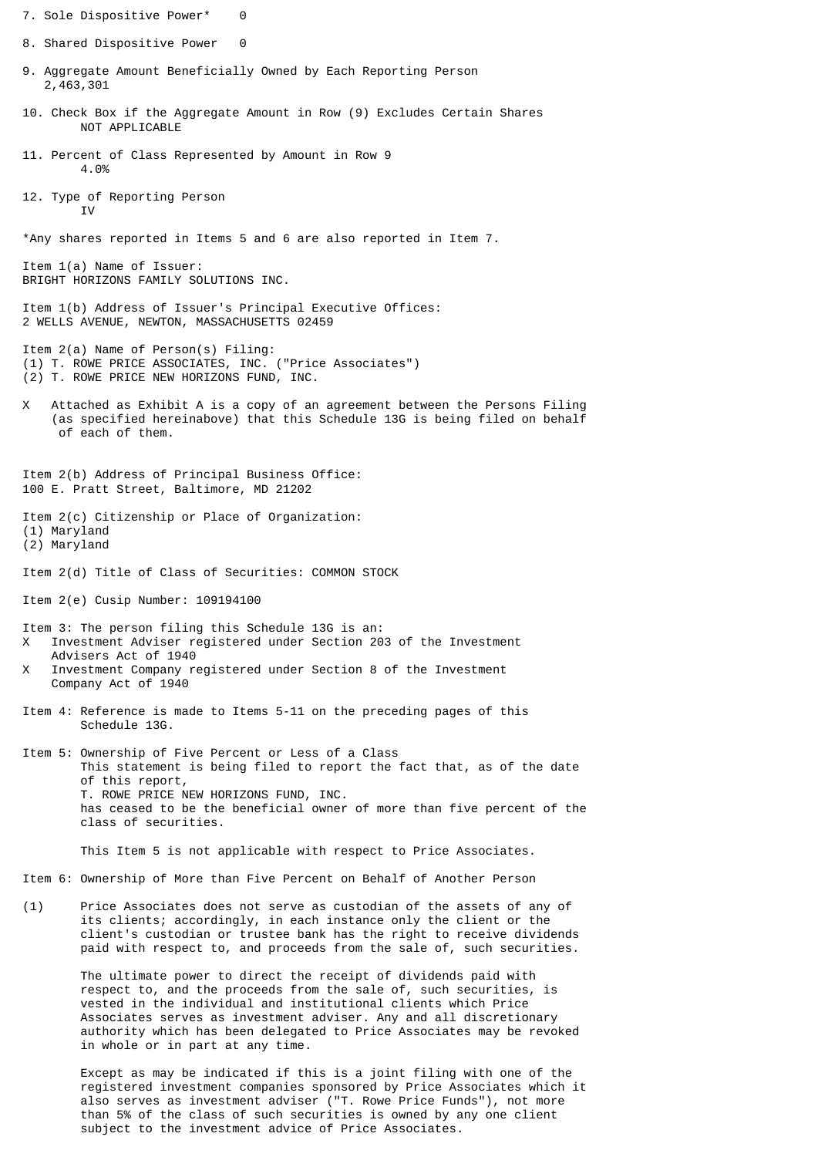7. Sole Dispositive Power\* 0 8. Shared Dispositive Power 0 9. Aggregate Amount Beneficially Owned by Each Reporting Person 2,463,301 10. Check Box if the Aggregate Amount in Row (9) Excludes Certain Shares NOT APPLICABLE 11. Percent of Class Represented by Amount in Row 9 4.0% 12. Type of Reporting Person T<sub>V</sub> \*Any shares reported in Items 5 and 6 are also reported in Item 7. Item 1(a) Name of Issuer: BRIGHT HORIZONS FAMILY SOLUTIONS INC. Item 1(b) Address of Issuer's Principal Executive Offices: 2 WELLS AVENUE, NEWTON, MASSACHUSETTS 02459 Item 2(a) Name of Person(s) Filing: (1) T. ROWE PRICE ASSOCIATES, INC. ("Price Associates") (2) T. ROWE PRICE NEW HORIZONS FUND, INC. X Attached as Exhibit A is a copy of an agreement between the Persons Filing (as specified hereinabove) that this Schedule 13G is being filed on behalf of each of them. Item 2(b) Address of Principal Business Office: 100 E. Pratt Street, Baltimore, MD 21202 Item 2(c) Citizenship or Place of Organization: (1) Maryland (2) Maryland Item 2(d) Title of Class of Securities: COMMON STOCK Item 2(e) Cusip Number: 109194100 Item 3: The person filing this Schedule 13G is an: X Investment Adviser registered under Section 203 of the Investment Advisers Act of 1940 X Investment Company registered under Section 8 of the Investment Company Act of 1940 Item 4: Reference is made to Items 5-11 on the preceding pages of this Schedule 13G. Item 5: Ownership of Five Percent or Less of a Class This statement is being filed to report the fact that, as of the date of this report, T. ROWE PRICE NEW HORIZONS FUND, INC. has ceased to be the beneficial owner of more than five percent of the class of securities. This Item 5 is not applicable with respect to Price Associates. Item 6: Ownership of More than Five Percent on Behalf of Another Person (1) Price Associates does not serve as custodian of the assets of any of its clients; accordingly, in each instance only the client or the client's custodian or trustee bank has the right to receive dividends paid with respect to, and proceeds from the sale of, such securities.

> The ultimate power to direct the receipt of dividends paid with respect to, and the proceeds from the sale of, such securities, is vested in the individual and institutional clients which Price Associates serves as investment adviser. Any and all discretionary authority which has been delegated to Price Associates may be revoked in whole or in part at any time.

 Except as may be indicated if this is a joint filing with one of the registered investment companies sponsored by Price Associates which it also serves as investment adviser ("T. Rowe Price Funds"), not more than 5% of the class of such securities is owned by any one client subject to the investment advice of Price Associates.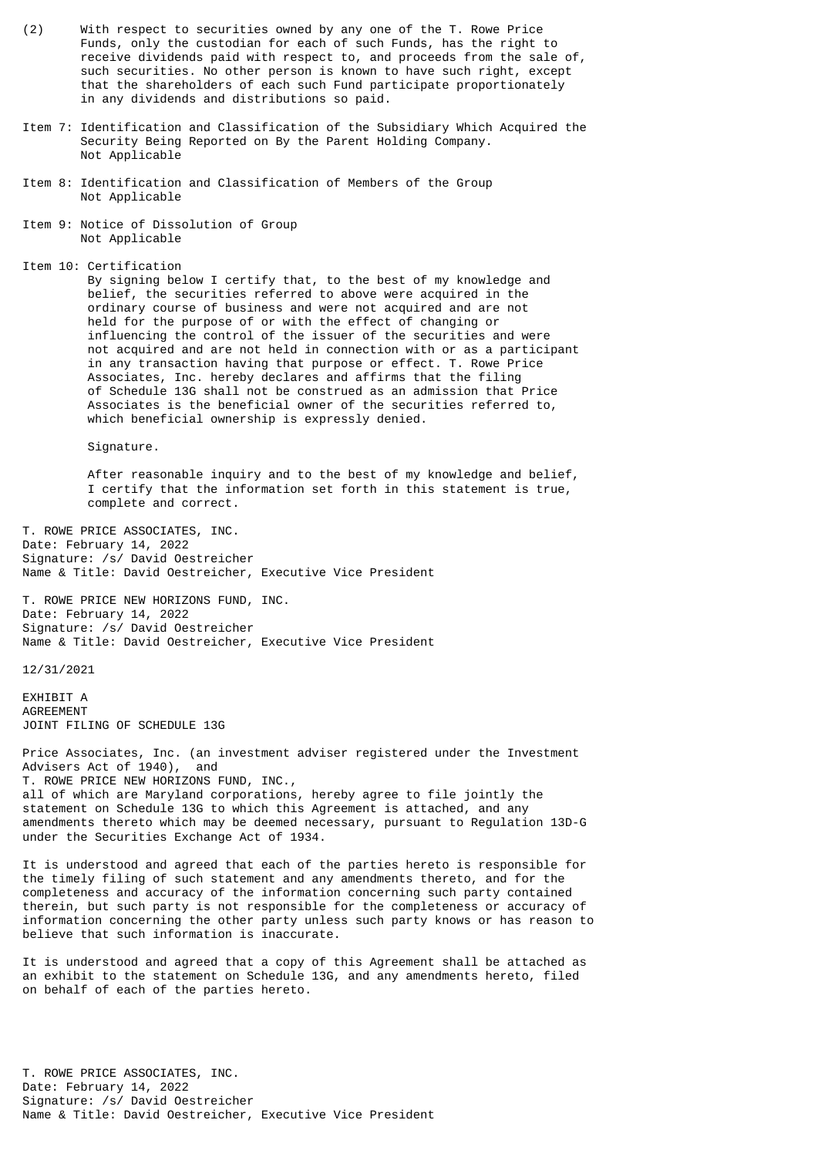- (2) With respect to securities owned by any one of the T. Rowe Price Funds, only the custodian for each of such Funds, has the right to receive dividends paid with respect to, and proceeds from the sale of, such securities. No other person is known to have such right, except that the shareholders of each such Fund participate proportionately in any dividends and distributions so paid.
- Item 7: Identification and Classification of the Subsidiary Which Acquired the Security Being Reported on By the Parent Holding Company. Not Applicable
- Item 8: Identification and Classification of Members of the Group Not Applicable
- Item 9: Notice of Dissolution of Group Not Applicable
- Item 10: Certification

 By signing below I certify that, to the best of my knowledge and belief, the securities referred to above were acquired in the ordinary course of business and were not acquired and are not held for the purpose of or with the effect of changing or influencing the control of the issuer of the securities and were not acquired and are not held in connection with or as a participant in any transaction having that purpose or effect. T. Rowe Price Associates, Inc. hereby declares and affirms that the filing of Schedule 13G shall not be construed as an admission that Price Associates is the beneficial owner of the securities referred to, which beneficial ownership is expressly denied.

Signature.

 After reasonable inquiry and to the best of my knowledge and belief, I certify that the information set forth in this statement is true, complete and correct.

T. ROWE PRICE ASSOCIATES, INC. Date: February 14, 2022 Signature: /s/ David Oestreicher Name & Title: David Oestreicher, Executive Vice President

T. ROWE PRICE NEW HORIZONS FUND, INC. Date: February 14, 2022 Signature: /s/ David Oestreicher Name & Title: David Oestreicher, Executive Vice President

12/31/2021

EXHIBIT A AGREEMENT JOINT FILING OF SCHEDULE 13G

Price Associates, Inc. (an investment adviser registered under the Investment Advisers Act of 1940), and T. ROWE PRICE NEW HORIZONS FUND, INC., all of which are Maryland corporations, hereby agree to file jointly the statement on Schedule 13G to which this Agreement is attached, and any amendments thereto which may be deemed necessary, pursuant to Regulation 13D-G under the Securities Exchange Act of 1934.

It is understood and agreed that each of the parties hereto is responsible for the timely filing of such statement and any amendments thereto, and for the completeness and accuracy of the information concerning such party contained therein, but such party is not responsible for the completeness or accuracy of information concerning the other party unless such party knows or has reason to believe that such information is inaccurate.

It is understood and agreed that a copy of this Agreement shall be attached as an exhibit to the statement on Schedule 13G, and any amendments hereto, filed on behalf of each of the parties hereto.